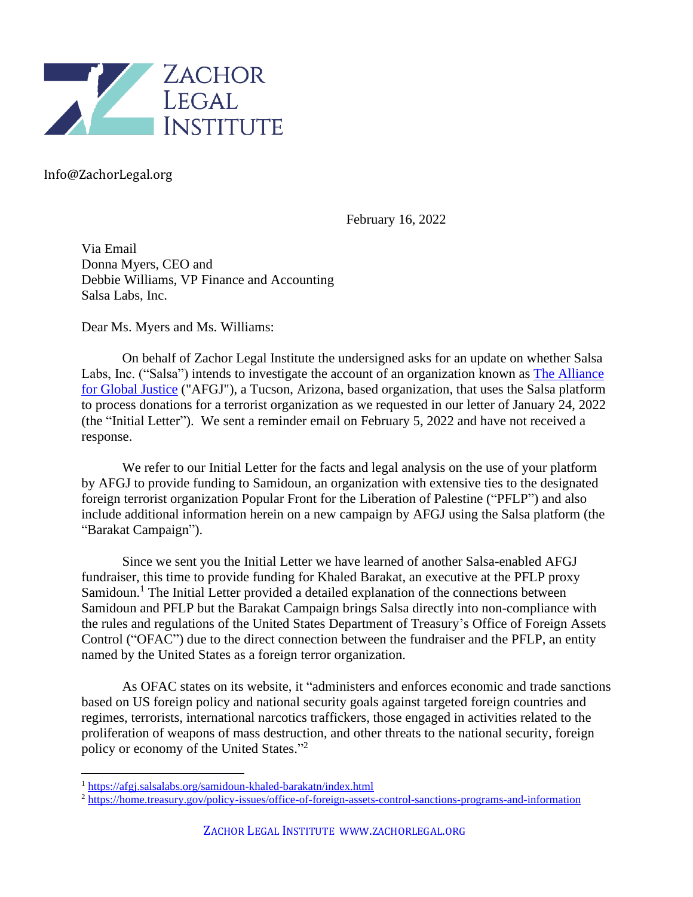

Info@ZachorLegal.org

February 16, 2022

Via Email Donna Myers, CEO and Debbie Williams, VP Finance and Accounting Salsa Labs, Inc.

Dear Ms. Myers and Ms. Williams:

On behalf of Zachor Legal Institute the undersigned asks for an update on whether Salsa Labs, Inc. ("Salsa") intends to investigate the account of an organization known as [The Alliance](https://afgj.org/)  [for Global Justice](https://afgj.org/) ("AFGJ"), a Tucson, Arizona, based organization, that uses the Salsa platform to process donations for a terrorist organization as we requested in our letter of January 24, 2022 (the "Initial Letter"). We sent a reminder email on February 5, 2022 and have not received a response.

We refer to our Initial Letter for the facts and legal analysis on the use of your platform by AFGJ to provide funding to Samidoun, an organization with extensive ties to the designated foreign terrorist organization Popular Front for the Liberation of Palestine ("PFLP") and also include additional information herein on a new campaign by AFGJ using the Salsa platform (the "Barakat Campaign").

Since we sent you the Initial Letter we have learned of another Salsa-enabled AFGJ fundraiser, this time to provide funding for Khaled Barakat, an executive at the PFLP proxy Samidoun.<sup>1</sup> The Initial Letter provided a detailed explanation of the connections between Samidoun and PFLP but the Barakat Campaign brings Salsa directly into non-compliance with the rules and regulations of the United States Department of Treasury's Office of Foreign Assets Control ("OFAC") due to the direct connection between the fundraiser and the PFLP, an entity named by the United States as a foreign terror organization.

As OFAC states on its website, it "administers and enforces economic and trade sanctions based on US foreign policy and national security goals against targeted foreign countries and regimes, terrorists, international narcotics traffickers, those engaged in activities related to the proliferation of weapons of mass destruction, and other threats to the national security, foreign policy or economy of the United States."<sup>2</sup>

<sup>1</sup> <https://afgj.salsalabs.org/samidoun-khaled-barakatn/index.html>

<sup>2</sup> <https://home.treasury.gov/policy-issues/office-of-foreign-assets-control-sanctions-programs-and-information>